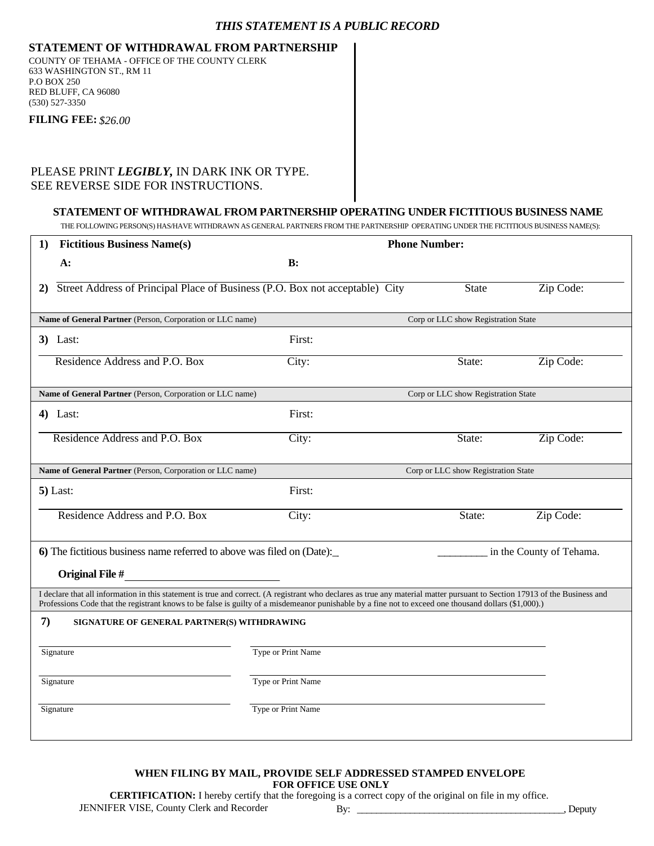### *THIS STATEMENT IS A PUBLIC RECORD*

### **STATEMENT OF WITHDRAWAL FROM PARTNERSHIP**

COUNTY OF TEHAMA - OFFICE OF THE COUNTY CLERK 633 WASHINGTON ST., RM 11 P.O BOX 250 RED BLUFF, CA 96080 (530) 527-3350

**FILING FEE:** *\$26.00*

## PLEASE PRINT *LEGIBLY,* IN DARK INK OR TYPE. SEE REVERSE SIDE FOR INSTRUCTIONS.

#### **STATEMENT OF WITHDRAWAL FROM PARTNERSHIP OPERATING UNDER FICTITIOUS BUSINESS NAME**

THE FOLLOWING PERSON(S) HAS/HAVE WITHDRAWN AS GENERAL PARTNERS FROM THE PARTNERSHIP OPERATING UNDER THE FICTITIOUS BUSINESS NAME(S):

| 1)                                                                                                                                                                                                                                                                                                                                  | <b>Fictitious Business Name(s)</b>                                           |                    |                                     | <b>Phone Number:</b> |                          |  |
|-------------------------------------------------------------------------------------------------------------------------------------------------------------------------------------------------------------------------------------------------------------------------------------------------------------------------------------|------------------------------------------------------------------------------|--------------------|-------------------------------------|----------------------|--------------------------|--|
|                                                                                                                                                                                                                                                                                                                                     | A:                                                                           | B:                 |                                     |                      |                          |  |
| 2)                                                                                                                                                                                                                                                                                                                                  | Street Address of Principal Place of Business (P.O. Box not acceptable) City |                    |                                     | <b>State</b>         | Zip Code:                |  |
|                                                                                                                                                                                                                                                                                                                                     | Name of General Partner (Person, Corporation or LLC name)                    |                    | Corp or LLC show Registration State |                      |                          |  |
|                                                                                                                                                                                                                                                                                                                                     | $3)$ Last:                                                                   | First:             |                                     |                      |                          |  |
|                                                                                                                                                                                                                                                                                                                                     | Residence Address and P.O. Box                                               | City:              |                                     | State:               | Zip Code:                |  |
|                                                                                                                                                                                                                                                                                                                                     | Name of General Partner (Person, Corporation or LLC name)                    |                    | Corp or LLC show Registration State |                      |                          |  |
|                                                                                                                                                                                                                                                                                                                                     | $4)$ Last:                                                                   | First:             |                                     |                      |                          |  |
|                                                                                                                                                                                                                                                                                                                                     | Residence Address and P.O. Box                                               | City:              |                                     | State:               | Zip Code:                |  |
|                                                                                                                                                                                                                                                                                                                                     | Name of General Partner (Person, Corporation or LLC name)                    |                    | Corp or LLC show Registration State |                      |                          |  |
|                                                                                                                                                                                                                                                                                                                                     | $5)$ Last:                                                                   | First:             |                                     |                      |                          |  |
|                                                                                                                                                                                                                                                                                                                                     | Residence Address and P.O. Box                                               | City:              |                                     | State:               | Zip Code:                |  |
| 6) The fictitious business name referred to above was filed on (Date):<br><b>Original File #</b>                                                                                                                                                                                                                                    |                                                                              |                    |                                     |                      | in the County of Tehama. |  |
| I declare that all information in this statement is true and correct. (A registrant who declares as true any material matter pursuant to Section 17913 of the Business and<br>Professions Code that the registrant knows to be false is guilty of a misdemeanor punishable by a fine not to exceed one thousand dollars (\$1,000).) |                                                                              |                    |                                     |                      |                          |  |
| 7)<br>SIGNATURE OF GENERAL PARTNER(S) WITHDRAWING                                                                                                                                                                                                                                                                                   |                                                                              |                    |                                     |                      |                          |  |
| Signature                                                                                                                                                                                                                                                                                                                           |                                                                              | Type or Print Name |                                     |                      |                          |  |
|                                                                                                                                                                                                                                                                                                                                     | Signature                                                                    | Type or Print Name |                                     |                      |                          |  |
|                                                                                                                                                                                                                                                                                                                                     | Signature                                                                    | Type or Print Name |                                     |                      |                          |  |

#### **FOR OFFICE USE ONLY WHEN FILING BY MAIL, PROVIDE SELF ADDRESSED STAMPED ENVELOPE**

**CERTIFICATION:** I hereby certify that the foregoing is a correct copy of the original on file in my office.

JENNIFER VISE, County Clerk and Recorder By: \_\_\_\_\_\_\_\_\_\_\_\_\_\_\_\_\_\_\_\_\_\_\_\_\_\_\_\_\_\_\_\_\_\_\_\_\_\_\_\_\_\_\_, Deputy